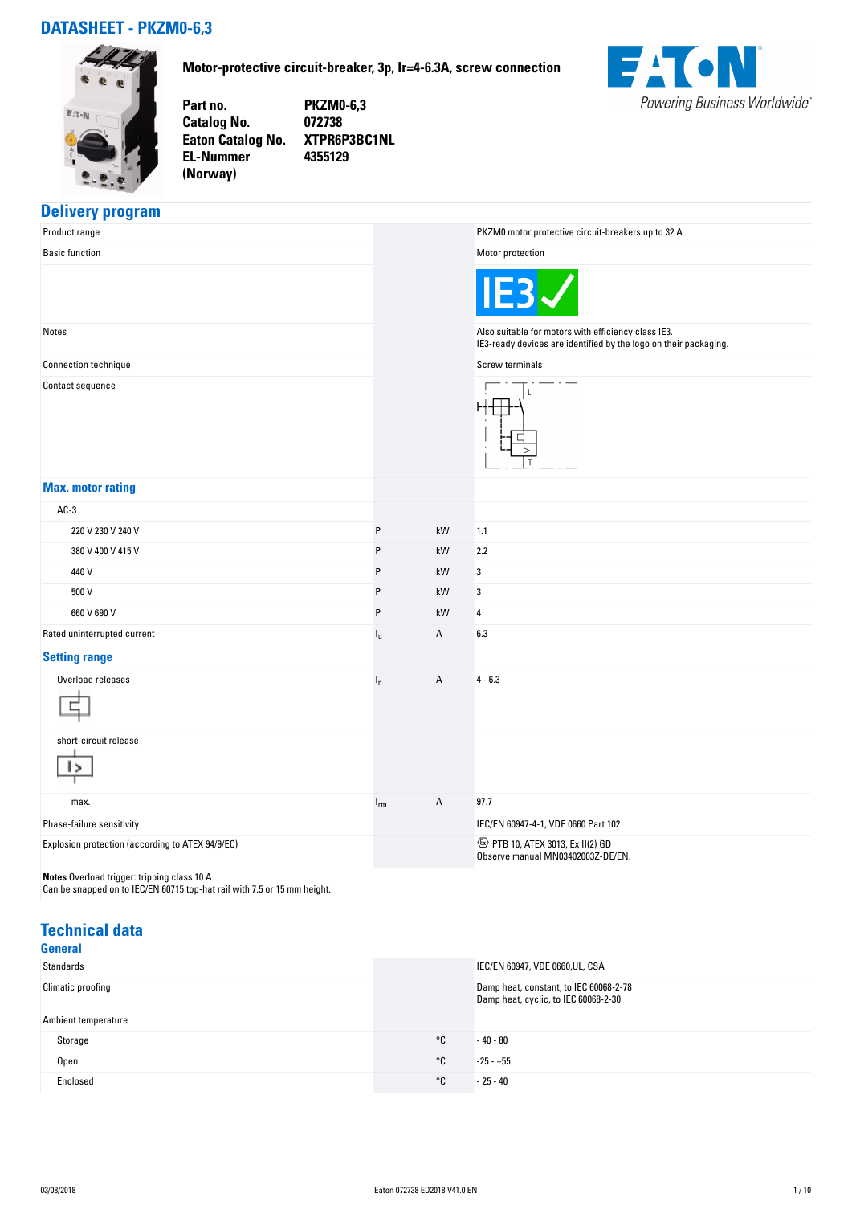# **DATASHEET - PKZM0-6,3**



**EL-Nummer (Norway)** 

**Motor-protective circuit-breaker, 3p, Ir=4-6.3A, screw connection**



**Part no. PKZM0-6,3 Catalog No. 072738 Eaton Catalog No. XTPR6P3BC1NL 4355129**

## **Delivery program**

| Product range                                                                                                           |          |    | PKZM0 motor protective circuit-breakers up to 32 A                                                                      |
|-------------------------------------------------------------------------------------------------------------------------|----------|----|-------------------------------------------------------------------------------------------------------------------------|
| <b>Basic function</b>                                                                                                   |          |    | Motor protection                                                                                                        |
|                                                                                                                         |          |    |                                                                                                                         |
| Notes                                                                                                                   |          |    | Also suitable for motors with efficiency class IE3.<br>IE3-ready devices are identified by the logo on their packaging. |
| Connection technique                                                                                                    |          |    | Screw terminals                                                                                                         |
| Contact sequence                                                                                                        |          |    |                                                                                                                         |
| <b>Max. motor rating</b>                                                                                                |          |    |                                                                                                                         |
| $AC-3$                                                                                                                  |          |    |                                                                                                                         |
| 220 V 230 V 240 V                                                                                                       | $\sf P$  | kW | 1.1                                                                                                                     |
| 380 V 400 V 415 V                                                                                                       | P        | kW | 2.2                                                                                                                     |
| 440 V                                                                                                                   | P        | kW | 3                                                                                                                       |
| 500 V                                                                                                                   | P        | kW | 3                                                                                                                       |
| 660 V 690 V                                                                                                             | P        | kW | 4                                                                                                                       |
| Rated uninterrupted current                                                                                             | ı"       | А  | 6.3                                                                                                                     |
| <b>Setting range</b>                                                                                                    |          |    |                                                                                                                         |
| Overload releases                                                                                                       | $I_r$    | A  | $4 - 6.3$                                                                                                               |
| short-circuit release                                                                                                   |          |    |                                                                                                                         |
| max.                                                                                                                    | $I_{rm}$ | Α  | 97.7                                                                                                                    |
| Phase-failure sensitivity                                                                                               |          |    | IEC/EN 60947-4-1, VDE 0660 Part 102                                                                                     |
| Explosion protection (according to ATEX 94/9/EC)                                                                        |          |    | 42 PTB 10, ATEX 3013, Ex II(2) GD<br>Observe manual MN03402003Z-DE/EN.                                                  |
| Notes Overload trigger: tripping class 10 A<br>Can be snapped on to IEC/EN 60715 top-hat rail with 7.5 or 15 mm height. |          |    |                                                                                                                         |

| <b>Technical data</b><br><b>General</b> |    |                                                                                |  |
|-----------------------------------------|----|--------------------------------------------------------------------------------|--|
| Standards                               |    | IEC/EN 60947, VDE 0660, UL, CSA                                                |  |
| Climatic proofing                       |    | Damp heat, constant, to IEC 60068-2-78<br>Damp heat, cyclic, to IEC 60068-2-30 |  |
| Ambient temperature                     |    |                                                                                |  |
| Storage                                 | °C | $-40 - 80$                                                                     |  |
| Open                                    | °C | $-25 - +55$                                                                    |  |
| Enclosed                                | °C | $-25 - 40$                                                                     |  |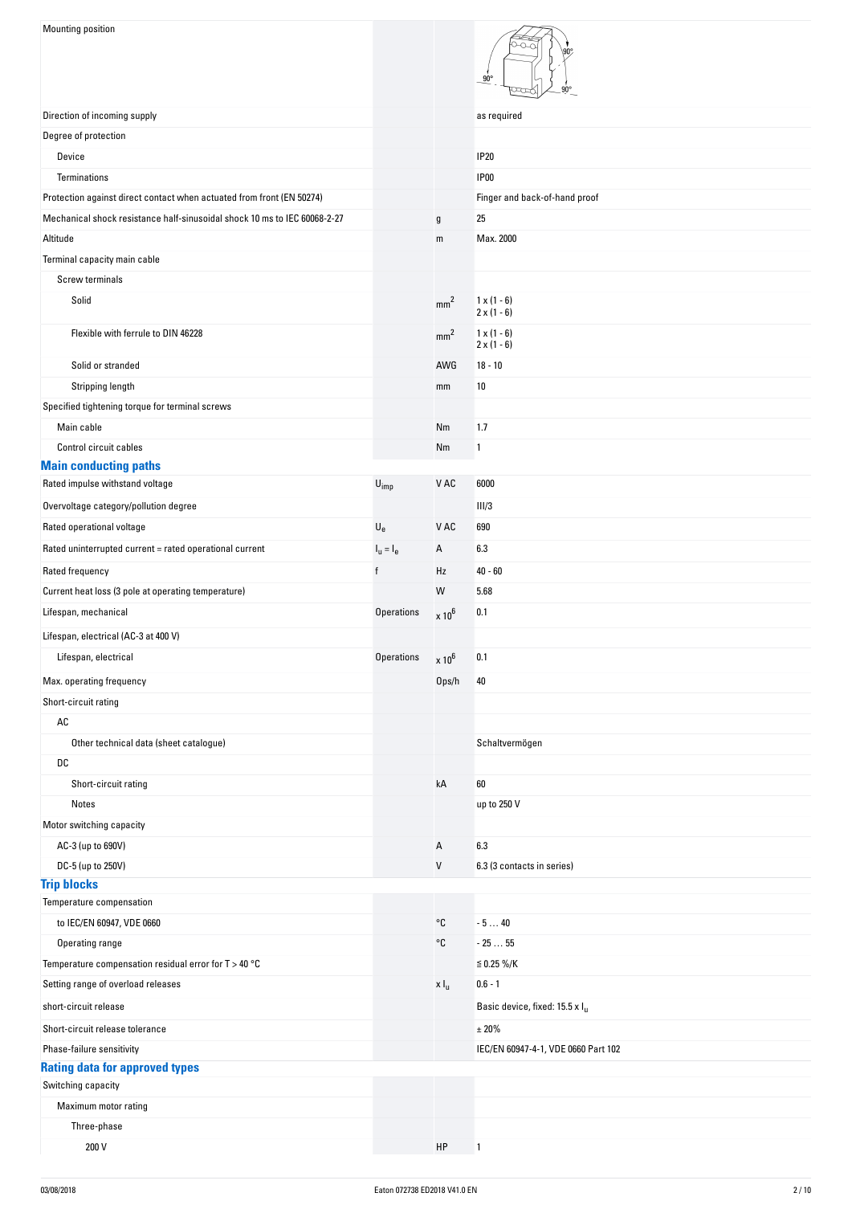| Mounting position                                                          |                          |                   | $90^\circ$<br>۹U۰                          |
|----------------------------------------------------------------------------|--------------------------|-------------------|--------------------------------------------|
| Direction of incoming supply                                               |                          |                   | as required                                |
| Degree of protection                                                       |                          |                   |                                            |
| Device                                                                     |                          |                   | <b>IP20</b>                                |
| Terminations                                                               |                          |                   | <b>IP00</b>                                |
| Protection against direct contact when actuated from front (EN 50274)      |                          |                   | Finger and back-of-hand proof              |
| Mechanical shock resistance half-sinusoidal shock 10 ms to IEC 60068-2-27  |                          | g                 | 25                                         |
| Altitude                                                                   |                          | ${\sf m}$         | Max. 2000                                  |
| Terminal capacity main cable                                               |                          |                   |                                            |
| Screw terminals                                                            |                          |                   |                                            |
| Solid                                                                      |                          | mm <sup>2</sup>   | $1 \times (1 - 6)$<br>$2 \times (1 - 6)$   |
| Flexible with ferrule to DIN 46228                                         |                          | mm <sup>2</sup>   | $1 \times (1 - 6)$                         |
| Solid or stranded                                                          |                          | AWG               | $2 \times (1 - 6)$<br>$18 - 10$            |
| Stripping length                                                           |                          | mm                | 10                                         |
|                                                                            |                          |                   |                                            |
| Specified tightening torque for terminal screws<br>Main cable              |                          | Nm                | 1.7                                        |
| Control circuit cables                                                     |                          | Nm                | 1                                          |
| <b>Main conducting paths</b>                                               |                          |                   |                                            |
| Rated impulse withstand voltage                                            | $U_{imp}$                | V AC              | 6000                                       |
| Overvoltage category/pollution degree                                      |                          |                   | III/3                                      |
| Rated operational voltage                                                  | $U_{e}$                  | V AC              | 690                                        |
| Rated uninterrupted current = rated operational current                    | $Iu = Ie$                | Α                 | 6.3                                        |
| Rated frequency                                                            | f                        | Hz                | $40 - 60$                                  |
| Current heat loss (3 pole at operating temperature)                        |                          | W                 | 5.68                                       |
| Lifespan, mechanical                                                       | <b>Operations</b>        |                   | 0.1                                        |
|                                                                            |                          | $\times 10^6$     |                                            |
| Lifespan, electrical (AC-3 at 400 V)                                       |                          |                   |                                            |
| Lifespan, electrical                                                       | Operations $\times 10^6$ |                   | 0.1                                        |
| Max. operating frequency                                                   |                          | 0 <sub>ps/h</sub> | 40                                         |
| Short-circuit rating                                                       |                          |                   |                                            |
| $\mathsf{AC}$                                                              |                          |                   |                                            |
| Other technical data (sheet catalogue)                                     |                          |                   | Schaltvermögen                             |
| DC                                                                         |                          |                   |                                            |
| Short-circuit rating                                                       |                          | kA                | 60                                         |
| Notes                                                                      |                          |                   | up to 250 V                                |
| Motor switching capacity                                                   |                          |                   |                                            |
| AC-3 (up to 690V)                                                          |                          | A                 | 6.3                                        |
| DC-5 (up to 250V)                                                          |                          | V                 | 6.3 (3 contacts in series)                 |
| <b>Trip blocks</b>                                                         |                          |                   |                                            |
| Temperature compensation                                                   |                          | °C                |                                            |
| to IEC/EN 60947, VDE 0660                                                  |                          | °C                | $-540$<br>$-2555$                          |
| Operating range<br>Temperature compensation residual error for $T > 40$ °C |                          |                   | $\leq$ 0.25 %/K                            |
|                                                                            |                          |                   |                                            |
| Setting range of overload releases                                         |                          | x I <sub>u</sub>  | $0.6 - 1$                                  |
| short-circuit release                                                      |                          |                   | Basic device, fixed: 15.5 x I <sub>u</sub> |
| Short-circuit release tolerance                                            |                          |                   | ± 20%                                      |
| Phase-failure sensitivity                                                  |                          |                   | IEC/EN 60947-4-1, VDE 0660 Part 102        |
| <b>Rating data for approved types</b>                                      |                          |                   |                                            |
| Switching capacity                                                         |                          |                   |                                            |
| Maximum motor rating                                                       |                          |                   |                                            |
| Three-phase                                                                |                          |                   |                                            |
| 200 V                                                                      |                          | HP                | 1                                          |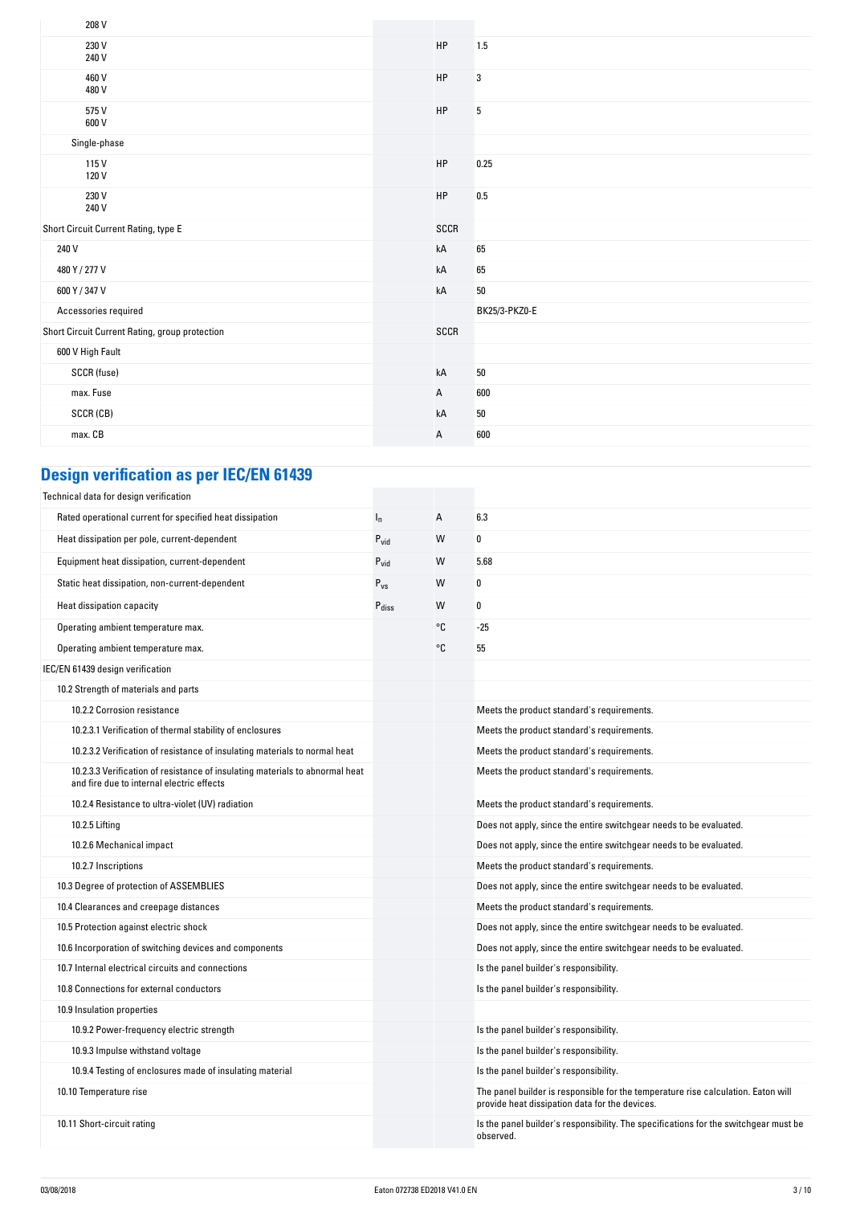|  | 1.5                                                                                                      |
|--|----------------------------------------------------------------------------------------------------------|
|  | 3                                                                                                        |
|  | 5                                                                                                        |
|  |                                                                                                          |
|  | 0.25                                                                                                     |
|  | 0.5                                                                                                      |
|  |                                                                                                          |
|  | 65                                                                                                       |
|  | 65                                                                                                       |
|  | $50\,$                                                                                                   |
|  | BK25/3-PKZ0-E                                                                                            |
|  |                                                                                                          |
|  |                                                                                                          |
|  | $50\,$                                                                                                   |
|  | 600                                                                                                      |
|  | $50\,$                                                                                                   |
|  | 600                                                                                                      |
|  | HP<br>HP<br>HP<br>HP<br>HP<br>SCCR<br>kA<br>kA<br>kA<br>SCCR<br>kA<br>$\mathsf{A}$<br>kA<br>$\mathsf{A}$ |

# **Design verification as per IEC/EN 61439**

| Technical data for design verification                                                                                    |                   |    |                                                                                                                                     |
|---------------------------------------------------------------------------------------------------------------------------|-------------------|----|-------------------------------------------------------------------------------------------------------------------------------------|
| Rated operational current for specified heat dissipation                                                                  | $I_{n}$           | А  | 6.3                                                                                                                                 |
| Heat dissipation per pole, current-dependent                                                                              | $P_{vid}$         | W  | 0                                                                                                                                   |
| Equipment heat dissipation, current-dependent                                                                             | $P_{\text{vid}}$  | W  | 5.68                                                                                                                                |
| Static heat dissipation, non-current-dependent                                                                            | $P_{VS}$          | W  | 0                                                                                                                                   |
| Heat dissipation capacity                                                                                                 | P <sub>diss</sub> | W  | 0                                                                                                                                   |
| Operating ambient temperature max.                                                                                        |                   | °C | $-25$                                                                                                                               |
| Operating ambient temperature max.                                                                                        |                   | °C | 55                                                                                                                                  |
| IEC/EN 61439 design verification                                                                                          |                   |    |                                                                                                                                     |
| 10.2 Strength of materials and parts                                                                                      |                   |    |                                                                                                                                     |
| 10.2.2 Corrosion resistance                                                                                               |                   |    | Meets the product standard's requirements.                                                                                          |
| 10.2.3.1 Verification of thermal stability of enclosures                                                                  |                   |    | Meets the product standard's requirements.                                                                                          |
| 10.2.3.2 Verification of resistance of insulating materials to normal heat                                                |                   |    | Meets the product standard's requirements.                                                                                          |
| 10.2.3.3 Verification of resistance of insulating materials to abnormal heat<br>and fire due to internal electric effects |                   |    | Meets the product standard's requirements.                                                                                          |
| 10.2.4 Resistance to ultra-violet (UV) radiation                                                                          |                   |    | Meets the product standard's requirements.                                                                                          |
| 10.2.5 Lifting                                                                                                            |                   |    | Does not apply, since the entire switchgear needs to be evaluated.                                                                  |
| 10.2.6 Mechanical impact                                                                                                  |                   |    | Does not apply, since the entire switchgear needs to be evaluated.                                                                  |
| 10.2.7 Inscriptions                                                                                                       |                   |    | Meets the product standard's requirements.                                                                                          |
| 10.3 Degree of protection of ASSEMBLIES                                                                                   |                   |    | Does not apply, since the entire switchgear needs to be evaluated.                                                                  |
| 10.4 Clearances and creepage distances                                                                                    |                   |    | Meets the product standard's requirements.                                                                                          |
| 10.5 Protection against electric shock                                                                                    |                   |    | Does not apply, since the entire switchgear needs to be evaluated.                                                                  |
| 10.6 Incorporation of switching devices and components                                                                    |                   |    | Does not apply, since the entire switchgear needs to be evaluated.                                                                  |
| 10.7 Internal electrical circuits and connections                                                                         |                   |    | Is the panel builder's responsibility.                                                                                              |
| 10.8 Connections for external conductors                                                                                  |                   |    | Is the panel builder's responsibility.                                                                                              |
| 10.9 Insulation properties                                                                                                |                   |    |                                                                                                                                     |
| 10.9.2 Power-frequency electric strength                                                                                  |                   |    | Is the panel builder's responsibility.                                                                                              |
| 10.9.3 Impulse withstand voltage                                                                                          |                   |    | Is the panel builder's responsibility.                                                                                              |
| 10.9.4 Testing of enclosures made of insulating material                                                                  |                   |    | Is the panel builder's responsibility.                                                                                              |
| 10.10 Temperature rise                                                                                                    |                   |    | The panel builder is responsible for the temperature rise calculation. Eaton will<br>provide heat dissipation data for the devices. |
| 10.11 Short-circuit rating                                                                                                |                   |    | Is the panel builder's responsibility. The specifications for the switchgear must be<br>observed.                                   |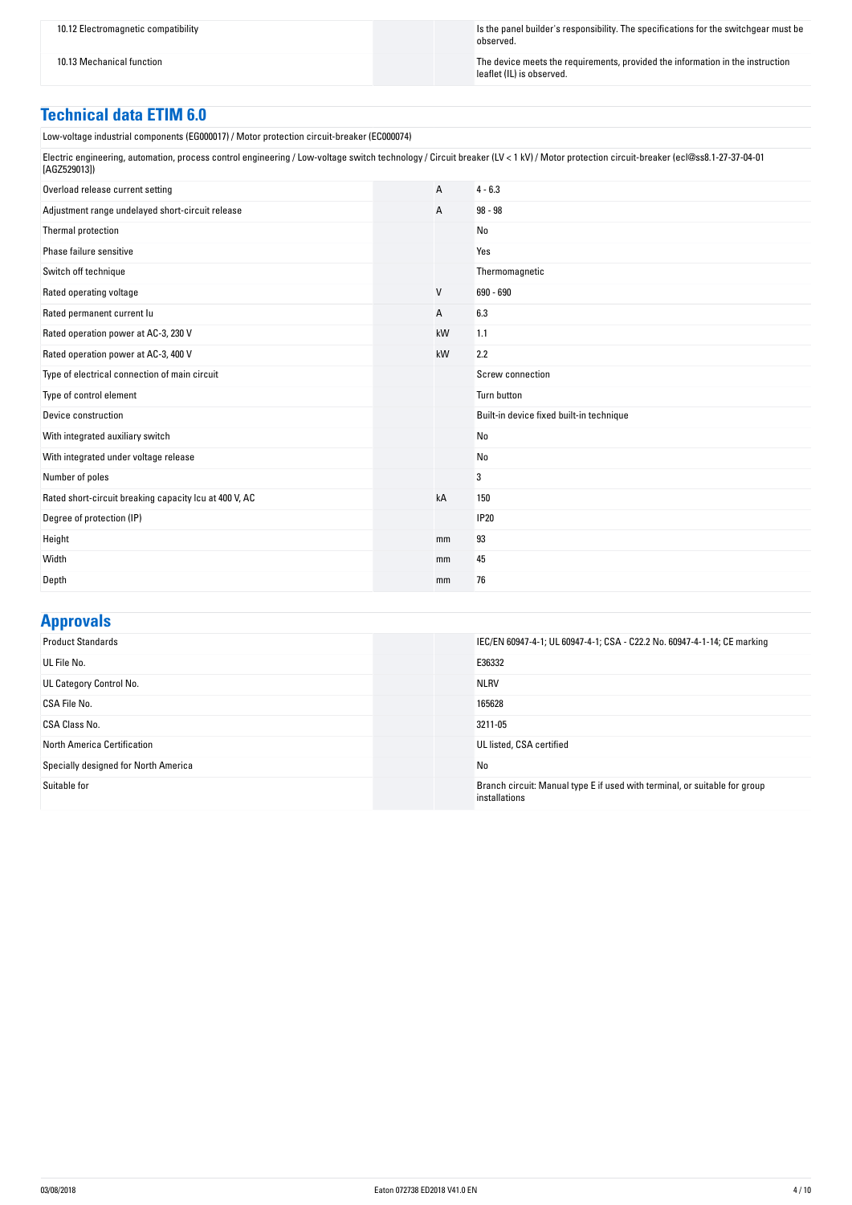10.12 Electromagnetic compatibility Is the panel builder's responsibility. The specifications for the switchgear must be observed.

10.13 Mechanical function in the instruction  $\blacksquare$ leaflet (IL) is observed.

# **Technical data ETIM 6.0**

| Low-voltage industrial components (EG000017) / Motor protection circuit-breaker (EC000074)                                                                                                            |  |    |                                          |
|-------------------------------------------------------------------------------------------------------------------------------------------------------------------------------------------------------|--|----|------------------------------------------|
| Electric engineering, automation, process control engineering / Low-voltage switch technology / Circuit breaker (LV < 1 kV) / Motor protection circuit-breaker (ecl@ss8.1-27-37-04-01<br>[AGZ529013]) |  |    |                                          |
| Overload release current setting                                                                                                                                                                      |  | A  | $4 - 6.3$                                |
| Adjustment range undelayed short-circuit release                                                                                                                                                      |  | А  | $98 - 98$                                |
| Thermal protection                                                                                                                                                                                    |  |    | No                                       |
| Phase failure sensitive                                                                                                                                                                               |  |    | Yes                                      |
| Switch off technique                                                                                                                                                                                  |  |    | Thermomagnetic                           |
| Rated operating voltage                                                                                                                                                                               |  | V  | 690 - 690                                |
| Rated permanent current lu                                                                                                                                                                            |  | А  | 6.3                                      |
| Rated operation power at AC-3, 230 V                                                                                                                                                                  |  | kW | 1.1                                      |
| Rated operation power at AC-3, 400 V                                                                                                                                                                  |  | kW | 2.2                                      |
| Type of electrical connection of main circuit                                                                                                                                                         |  |    | Screw connection                         |
| Type of control element                                                                                                                                                                               |  |    | Turn button                              |
| Device construction                                                                                                                                                                                   |  |    | Built-in device fixed built-in technique |
| With integrated auxiliary switch                                                                                                                                                                      |  |    | No                                       |
| With integrated under voltage release                                                                                                                                                                 |  |    | No                                       |
| Number of poles                                                                                                                                                                                       |  |    | 3                                        |
| Rated short-circuit breaking capacity Icu at 400 V, AC                                                                                                                                                |  | kA | 150                                      |
| Degree of protection (IP)                                                                                                                                                                             |  |    | <b>IP20</b>                              |
| Height                                                                                                                                                                                                |  | mm | 93                                       |
| Width                                                                                                                                                                                                 |  | mm | 45                                       |
| Depth                                                                                                                                                                                                 |  | mm | 76                                       |

## **Approvals**

| . .                                  |                                                                                             |
|--------------------------------------|---------------------------------------------------------------------------------------------|
| <b>Product Standards</b>             | IEC/EN 60947-4-1; UL 60947-4-1; CSA - C22.2 No. 60947-4-1-14; CE marking                    |
| UL File No.                          | E36332                                                                                      |
| UL Category Control No.              | <b>NLRV</b>                                                                                 |
| CSA File No.                         | 165628                                                                                      |
| CSA Class No.                        | 3211-05                                                                                     |
| North America Certification          | UL listed, CSA certified                                                                    |
| Specially designed for North America | No                                                                                          |
| Suitable for                         | Branch circuit: Manual type E if used with terminal, or suitable for group<br>installations |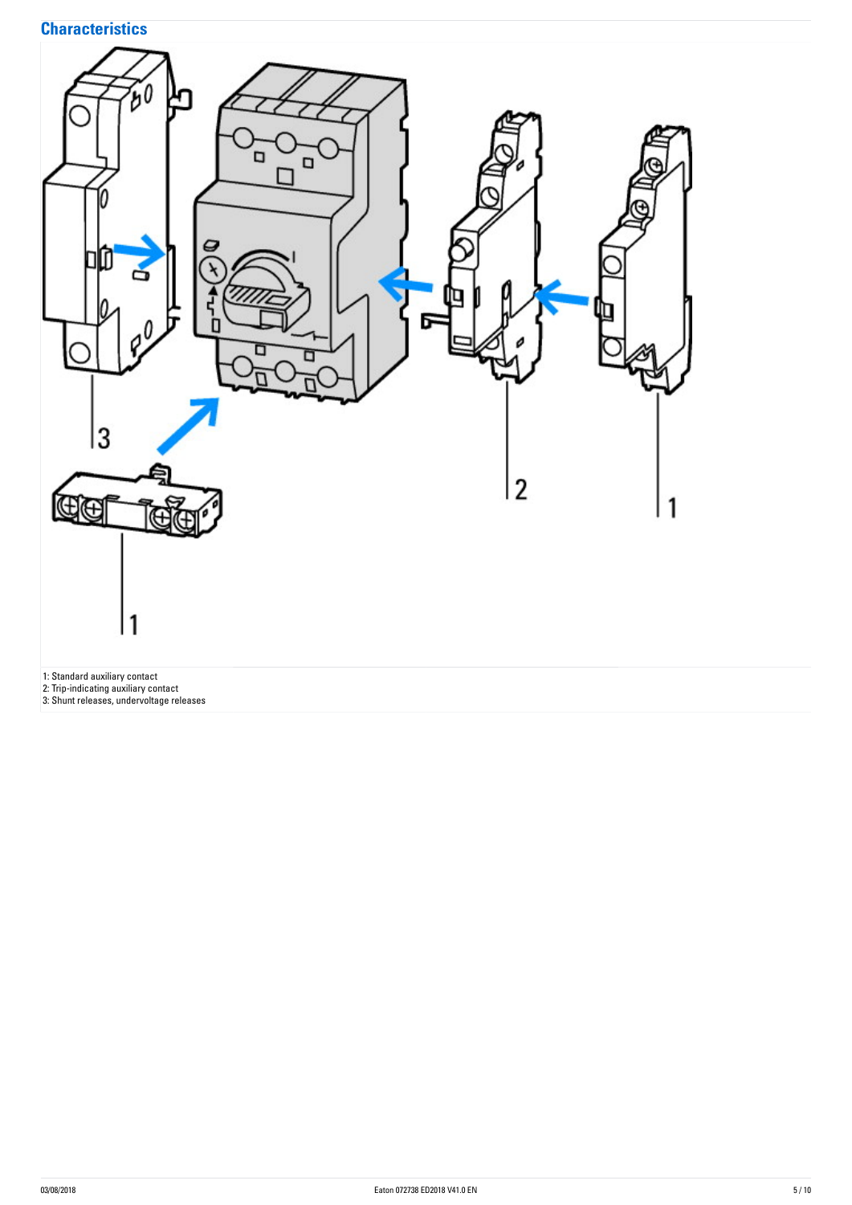# **Characteristics**

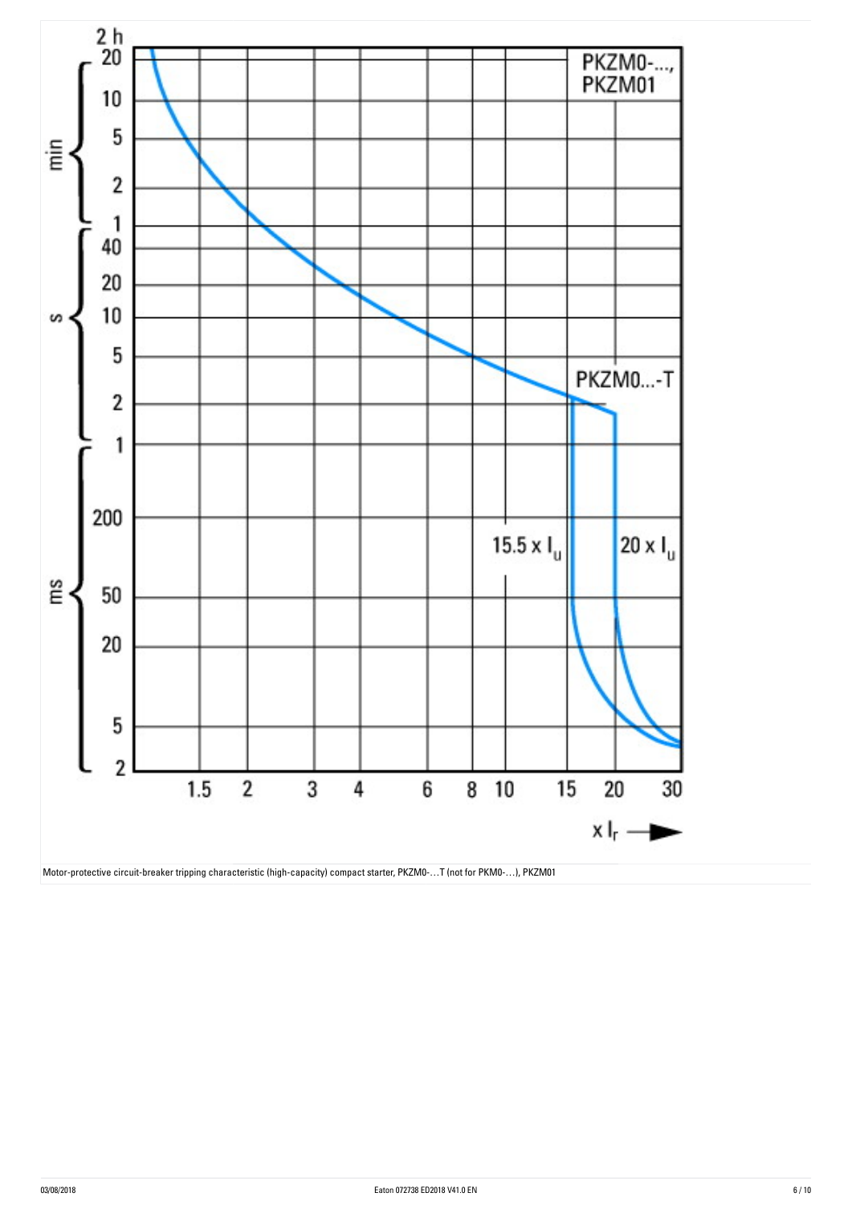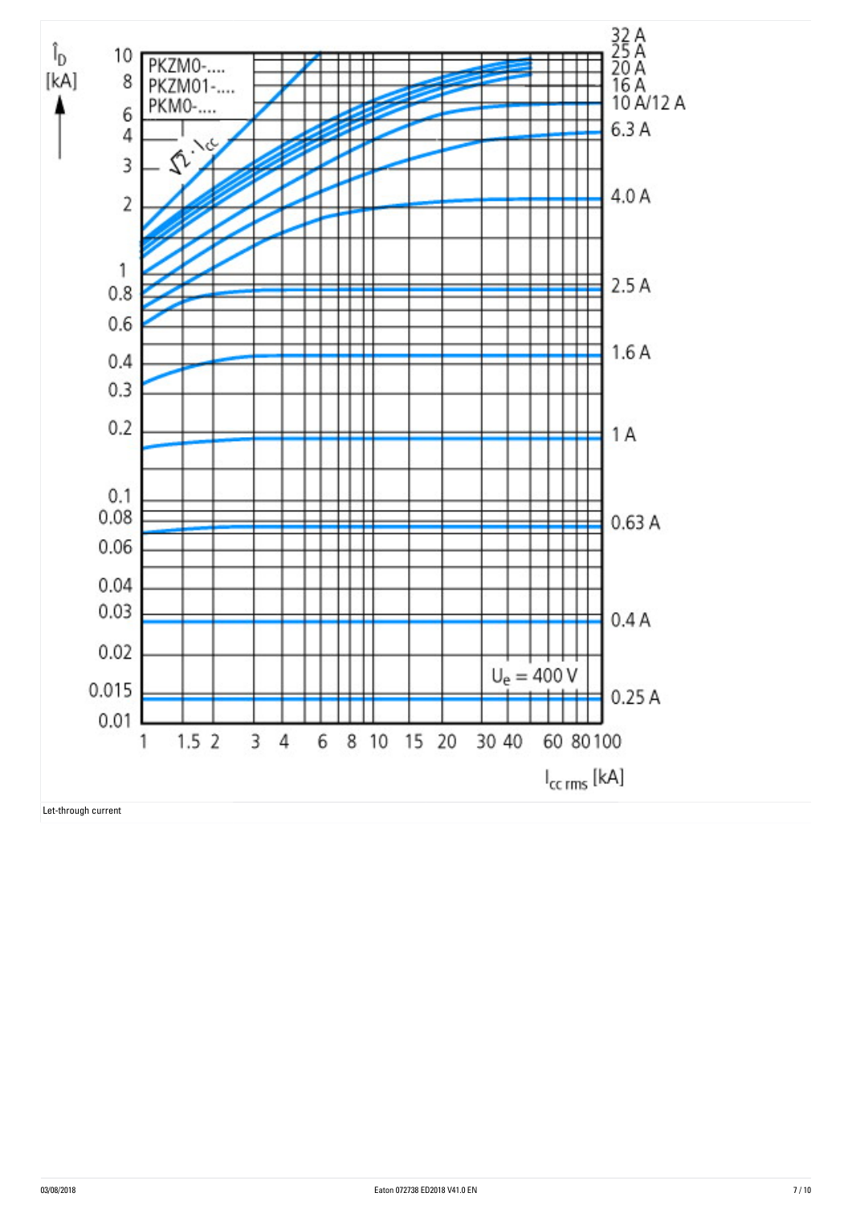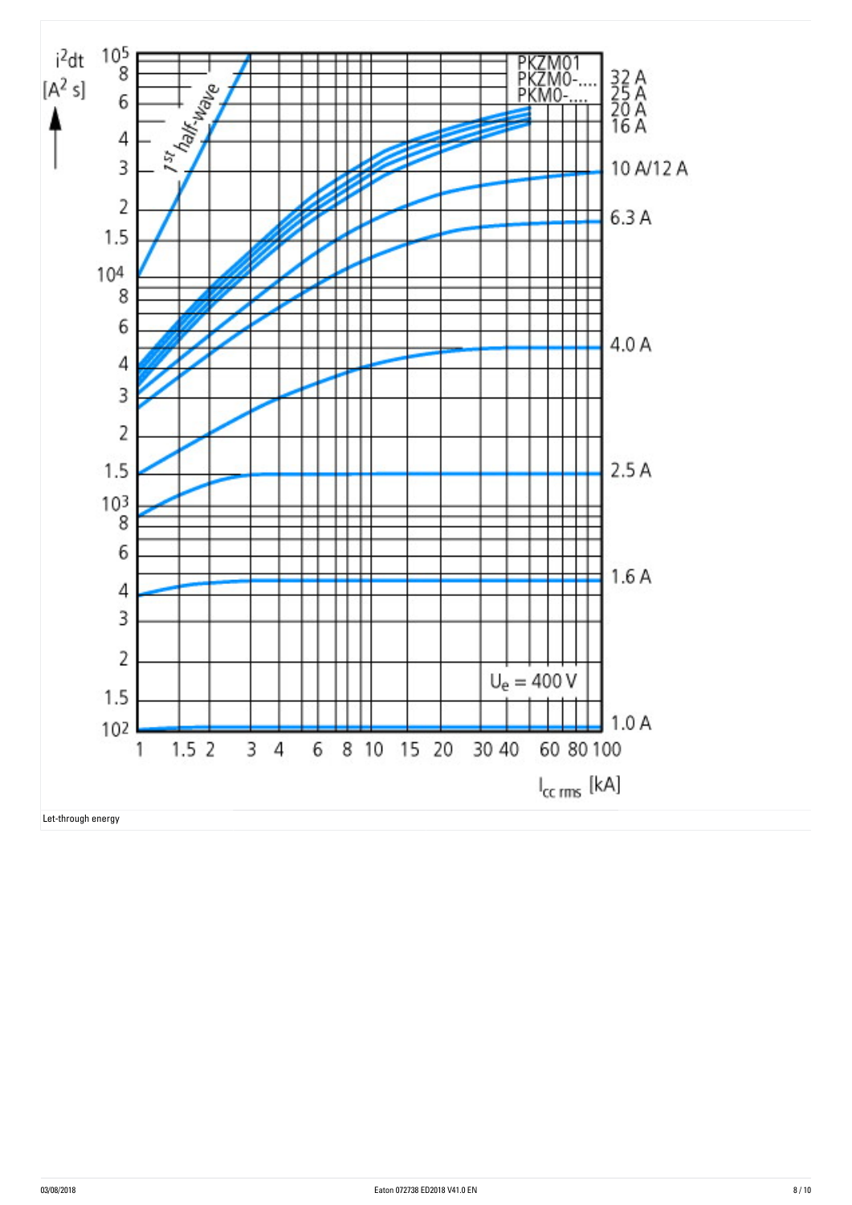

Let-through energy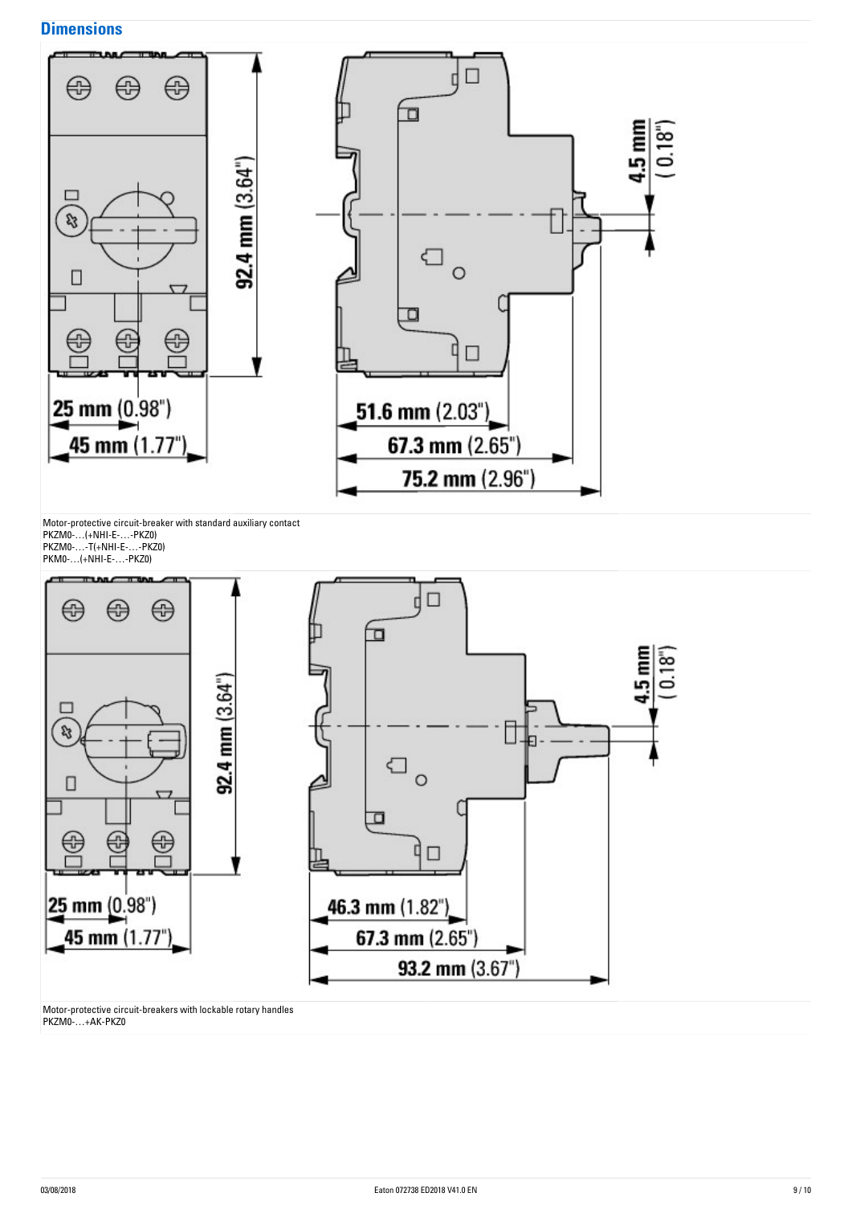### **Dimensions**